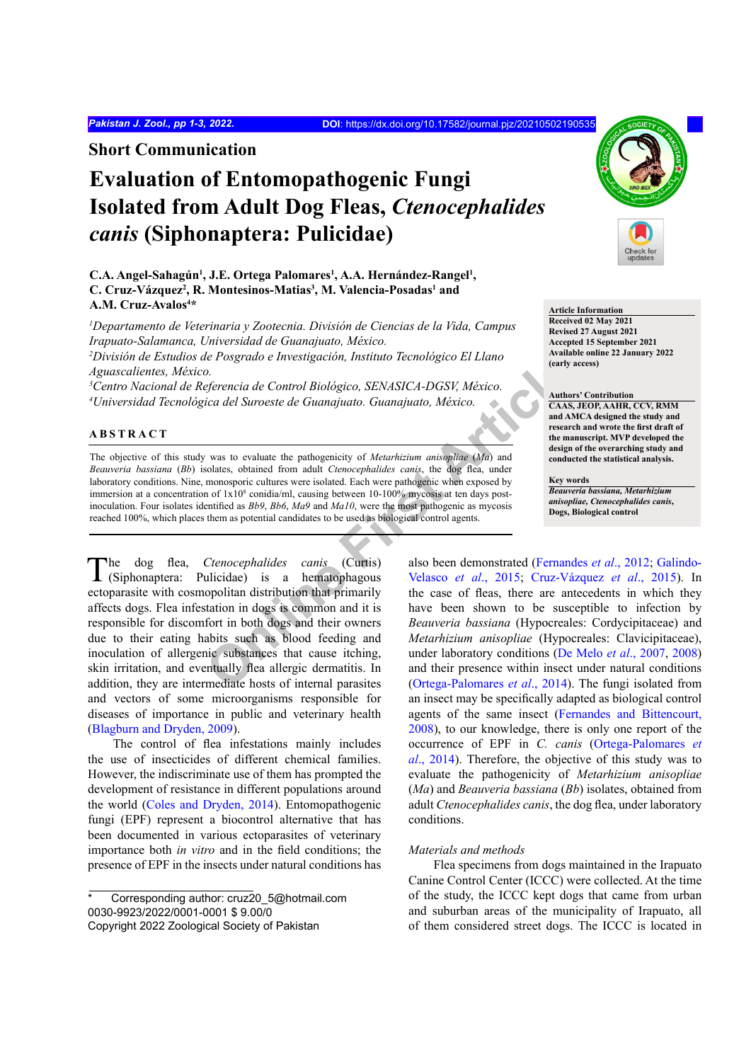**Short Communication**

# **Evaluation of Entomopathogenic Fungi Isolated from Adult Dog Fleas,** *Ctenocephalides canis* **(Siphonaptera: Pulicidae)**

## C.A. Angel-Sahagún<sup>1</sup>, J.E. Ortega Palomares<sup>1</sup>, A.A. Hernández-Rangel<sup>1</sup>, C. Cruz-Vázquez<sup>2</sup>, R. Montesinos-Matias<sup>3</sup>, M. Valencia-Posadas<sup>1</sup> and **A.M. Cruz-Avalos4 \***

*1 Departamento de Veterinaria y Zootecnia. División de Ciencias de la Vida, Campus Irapuato-Salamanca, Universidad de Guanajuato, México. 2 División de Estudios de Posgrado e Investigación, Instituto Tecnológico El Llano* 

*Aguascalientes, México.*

*3 Centro Nacional de Referencia de Control Biológico, SENASICA-DGSV, México. 4 Universidad Tecnológica del Suroeste de Guanajuato. Guanajuato, México.*

#### **ABSTRACT**

The objective of this study was to evaluate the pathogenicity of *Metarhizium anisopliae* (*Ma*) and *Beauveria bassiana* (*Bb*) isolates, obtained from adult *Ctenocephalides canis*, the dog flea, under laboratory conditions. Nine, monosporic cultures were isolated. Each were pathogenic when exposed by immersion at a concentration of  $1x10^8$  conidia/ml, causing between  $10-100\%$  mycosis at ten days postinoculation. Four isolates identified as *Bb9*, *Bb6*, *Ma9* and *Ma10*, were the most pathogenic as mycosis reached 100%, which places them as potential candidates to be used as biological control agents.

*Chief Chero Chero Chero Chero Chero Chero Chero Chero Chero Chero Chero Chero Chero Chero Chero Chero Chero Chero Chero Chero Chero Chero Chero Chero Chero Chero Chero Chero Chero Chero Chero Chero Chero Chero Chero Chero* The dog flea, *Ctenocephalides canis* (Curtis) (Siphonaptera: Pulicidae) is a hematophagous ectoparasite with cosmopolitan distribution that primarily affects dogs. Flea infestation in dogs is common and it is responsible for discomfort in both dogs and their owners due to their eating habits such as blood feeding and inoculation of allergenic substances that cause itching, skin irritation, and eventually flea allergic dermatitis. In addition, they are intermediate hosts of internal parasites and vectors of some microorganisms responsible for diseases of importance in public and veterinary health [\(Blagburn and Dryden, 2009\)](#page-2-0).

The control of flea infestations mainly includes the use of insecticides of different chemical families. However, the indiscriminate use of them has prompted the development of resistance in different populations around the world [\(Coles and Dryden, 2014](#page-2-1)). Entomopathogenic fungi (EPF) represent a biocontrol alternative that has been documented in various ectoparasites of veterinary importance both *in vitro* and in the field conditions; the presence of EPF in the insects under natural conditions has



**Article Information Received 02 May 2021 Revised 27 August 2021 Accepted 15 September 2021 Available online 22 January 2022 (early access)**

#### **Authors' Contribution**

**CAAS, JEOP, AAHR, CCV, RMM and AMCA designed the study and research and wrote the first draft of the manuscript. MVP developed the design of the overarching study and conducted the statistical analysis.**

#### **Key words**

*Beauveria bassiana, Metarhizium anisopliae, Ctenocephalides canis***, Dogs, Biological control**

also been demonstrated [\(Fernandes](#page-2-2) *et al*., 2012; [Galindo-](#page-2-3)Velasco *et al*., 2015; [Cruz-Vázquez](#page-2-3) *et al*., 2015). In the case of fleas, there are antecedents in which they have been shown to be susceptible to infection by *Beauveria bassiana* (Hypocreales: Cordycipitaceae) and *Metarhizium anisopliae* (Hypocreales: Clavicipitaceae), under laboratory conditions [\(De Melo](#page-2-4) *et al*., 2007, [2008](#page-2-5)) and their presence within insect under natural conditions (Ortega-Palomares *et al*., 2014). The fungi isolated from an insect may be specifically adapted as biological control agents of the same insect [\(Fernandes and Bittencourt,](#page-2-7) [2008\)](#page-2-7), to our knowledge, there is only one report of the occurrence of EPF in *C. canis* ([Ortega-Palomares](#page-2-6) *et al*[., 2014\)](#page-2-6). Therefore, the objective of this study was to evaluate the pathogenicity of *Metarhizium anisopliae* (*Ma*) and *Beauveria bassiana* (*Bb*) isolates, obtained from adult *Ctenocephalides canis*, the dog flea, under laboratory conditions.

#### *Materials and methods*

Flea specimens from dogs maintained in the Irapuato Canine Control Center (ICCC) were collected. At the time of the study, the ICCC kept dogs that came from urban and suburban areas of the municipality of Irapuato, all of them considered street dogs. The ICCC is located in

Corresponding author: [cruz20\\_5@hotmail.com](mailto:cruz20_5@hotmail.com) 0030-9923/2022/0001-0001 \$ 9.00/0

Copyright 2022 Zoological Society of Pakistan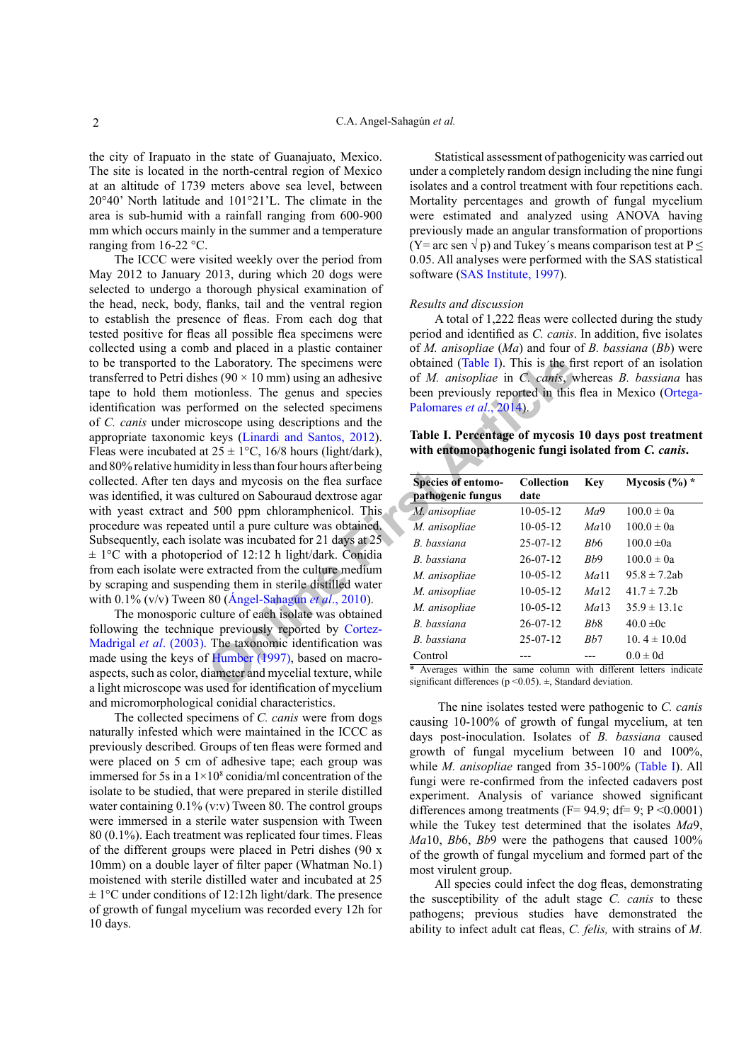the city of Irapuato in the state of Guanajuato, Mexico. The site is located in the north-central region of Mexico at an altitude of 1739 meters above sea level, between 20°40' North latitude and 101°21'L. The climate in the area is sub-humid with a rainfall ranging from 600-900 mm which occurs mainly in the summer and a temperature ranging from 16-22 °C.

**Example 1** Example 1 and specimens were contained (Table I). This is the fit con[tic](#page-2-6)al times (90 × 10 mm) using an adhesive of *M. anisopliae* in *C. cants*, worden on the selected specimes been previously reported in thi The ICCC were visited weekly over the period from May 2012 to January 2013, during which 20 dogs were selected to undergo a thorough physical examination of the head, neck, body, flanks, tail and the ventral region to establish the presence of fleas. From each dog that tested positive for fleas all possible flea specimens were collected using a comb and placed in a plastic container to be transported to the Laboratory. The specimens were transferred to Petri dishes ( $90 \times 10$  mm) using an adhesive tape to hold them motionless. The genus and species identification was performed on the selected specimens of *C. canis* under microscope using descriptions and the appropriate taxonomic keys (Linardi and Santos, 2012). Fleas were incubated at  $25 \pm 1$ °C, 16/8 hours (light/dark), and 80% relative humidity in less than four hours after being collected. After ten days and mycosis on the flea surface was identified, it was cultured on Sabouraud dextrose agar with yeast extract and 500 ppm chloramphenicol. This procedure was repeated until a pure culture was obtained. Subsequently, each isolate was incubated for 21 days at 25  $\pm$  1°C with a photoperiod of 12:12 h light/dark. Conidia from each isolate were extracted from the culture medium by scraping and suspending them in sterile distilled water with 0.1% (v/v) Tween 80 (Ángel-Sahagún *et al*., 2010).

The monosporic culture of each isolate was obtained following the technique previously reported by Cortez-[Madrigal](#page-2-10) *et al*. (2003). The taxonomic identification was made using the keys of Humber (1997), based on macroaspects, such as color, diameter and mycelial texture, while a light microscope was used for identification of mycelium and micromorphological conidial characteristics.

The collected specimens of *C. canis* were from dogs naturally infested which were maintained in the ICCC as previously described*.* Groups of ten fleas were formed and were placed on 5 cm of adhesive tape; each group was immersed for 5s in a  $1 \times 10^8$  conidia/ml concentration of the isolate to be studied, that were prepared in sterile distilled water containing  $0.1\%$  (v:v) Tween 80. The control groups were immersed in a sterile water suspension with Tween 80 (0.1%). Each treatment was replicated four times. Fleas of the different groups were placed in Petri dishes (90 x 10mm) on a double layer of filter paper (Whatman No.1) moistened with sterile distilled water and incubated at 25  $\pm 1$ °C under conditions of 12:12h light/dark. The presence of growth of fungal mycelium was recorded every 12h for 10 days.

Statistical assessment of pathogenicity was carried out under a completely random design including the nine fungi isolates and a control treatment with four repetitions each. Mortality percentages and growth of fungal mycelium were estimated and analyzed using ANOVA having previously made an angular transformation of proportions (Y= arc sen  $\sqrt{p}$ ) and Tukey's means comparison test at P  $\leq$ 0.05. All analyses were performed with the SAS statistical software ([SAS Institute, 1997](#page-2-12)).

#### *Results and discussion*

A total of 1,222 fleas were collected during the study period and identified as *C. canis*. In addition, five isolates of *M. anisopliae* (*Ma*) and four of *B. bassiana* (*Bb*) were obtained (Table I). This is the first report of an isolation of *M. anisopliae* in *C. canis*, whereas *B. bassiana* has been previously reported in this flea in Mexico ([Ortega-](#page-2-6)Palomares *et al*., 2014).

<span id="page-1-0"></span>**Table I. Percentage of mycosis 10 days post treatment with entomopathogenic fungi isolated from** *C. canis***.**

| <b>Species of entomo-</b> | Collection     | Key      | Mycosis $(\%)^*$ |
|---------------------------|----------------|----------|------------------|
| pathogenic fungus         | date           |          |                  |
| M. anisopliae             | $10-0.5-12$    | Ma9      | $100.0 \pm 0a$   |
| M. anisopliae             | $10-0.5-12$    | Ma10     | $100.0 \pm 0a$   |
| B. bassiana               | $25-07-12$     | Rh6      | $100.0 \pm 0a$   |
| B. bassiana               | $26 - 07 - 12$ | Bb9      | $100.0 \pm 0a$   |
| M. anisopliae             | $10-0.5-12$    | Ma11     | 95.8 $\pm$ 7.2ab |
| M. anisopliae             | $10-0.5-12$    | $Ma$ 12. | $41.7 \pm 7.2$ b |
| M. anisopliae             | $10-0.5-12$    | Ma13     | $35.9 \pm 13.1c$ |
| B bassiana                | $26 - 07 - 12$ | Rh8      | $40.0 \pm 0c$    |
| B bassiana                | $25-07-12$     | Bh7      | 10 4 $\pm$ 10 0d |
| Control                   |                |          | $0.0 \pm 0d$     |

\* Averages within the same column with different letters indicate significant differences ( $p$  < 0.05).  $\pm$ , Standard deviation.

The nine isolates tested were pathogenic to *C. canis* causing 10-100% of growth of fungal mycelium, at ten days post-inoculation. Isolates of *B. bassiana* caused growth of fungal mycelium between 10 and 100%, while *M. anisopliae* ranged from 35-100% ([Table I\)](#page-1-0). All fungi were re-confirmed from the infected cadavers post experiment. Analysis of variance showed significant differences among treatments ( $F = 94.9$ ; d $f = 9$ ;  $P \le 0.0001$ ) while the Tukey test determined that the isolates *Ma*9, *Ma*10, *Bb*6, *Bb*9 were the pathogens that caused 100% of the growth of fungal mycelium and formed part of the most virulent group.

All species could infect the dog fleas, demonstrating the susceptibility of the adult stage *C. canis* to these pathogens; previous studies have demonstrated the ability to infect adult cat fleas, *C. felis,* with strains of *M.*